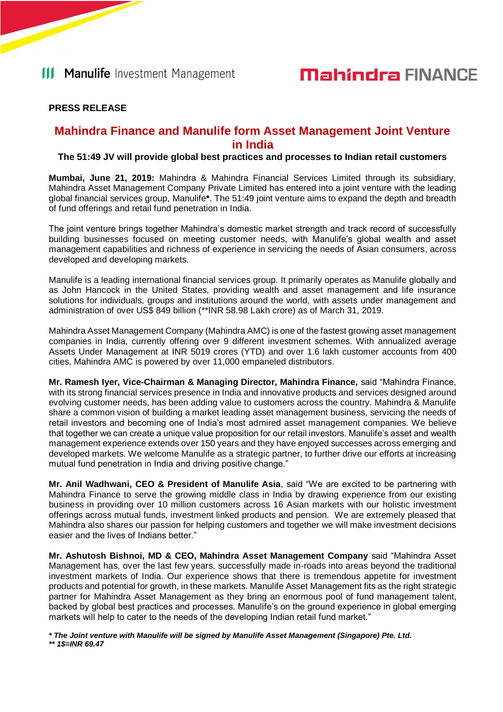### **PRESS RELEASE**

### **Mahindra Finance and Manulife form Asset Management Joint Venture in India**

#### **The 51:49 JV will provide global best practices and processes to Indian retail customers**

**Mumbai, June 21, 2019:** Mahindra & Mahindra Financial Services Limited through its subsidiary, Mahindra Asset Management Company Private Limited has entered into a joint venture with the leading global financial services group, Manulife**\***. The 51:49 joint venture aims to expand the depth and breadth of fund offerings and retail fund penetration in India.

The joint venture brings together Mahindra's domestic market strength and track record of successfully building businesses focused on meeting customer needs, with Manulife's global wealth and asset management capabilities and richness of experience in servicing the needs of Asian consumers, across developed and developing markets.

Manulife is a leading international financial services group. It primarily operates as Manulife globally and as John Hancock in the United States, providing wealth and asset management and life insurance solutions for individuals, groups and institutions around the world, with assets under management and administration of over US\$ 849 billion (\*\*INR 58.98 Lakh crore) as of March 31, 2019.

Mahindra Asset Management Company (Mahindra AMC) is one of the fastest growing asset management companies in India, currently offering over 9 different investment schemes. With annualized average Assets Under Management at INR 5019 crores (YTD) and over 1.6 lakh customer accounts from 400 cities, Mahindra AMC is powered by over 11,000 empaneled distributors.

**Mr. Ramesh Iyer, Vice-Chairman & Managing Director, Mahindra Finance,** said "Mahindra Finance, with its strong financial services presence in India and innovative products and services designed around evolving customer needs, has been adding value to customers across the country. Mahindra & Manulife share a common vision of building a market leading asset management business, servicing the needs of retail investors and becoming one of India's most admired asset management companies. We believe that together we can create a unique value proposition for our retail investors. Manulife's asset and wealth management experience extends over 150 years and they have enjoyed successes across emerging and developed markets. We welcome Manulife as a strategic partner, to further drive our efforts at increasing mutual fund penetration in India and driving positive change."

**Mr. Anil Wadhwani, CEO & President of Manulife Asia**, said "We are excited to be partnering with Mahindra Finance to serve the growing middle class in India by drawing experience from our existing business in providing over 10 million customers across 16 Asian markets with our holistic investment offerings across mutual funds, investment linked products and pension. We are extremely pleased that Mahindra also shares our passion for helping customers and together we will make investment decisions easier and the lives of Indians better."

**Mr. Ashutosh Bishnoi, MD & CEO, Mahindra Asset Management Company** said "Mahindra Asset Management has, over the last few years, successfully made in-roads into areas beyond the traditional investment markets of India. Our experience shows that there is tremendous appetite for investment products and potential for growth, in these markets. Manulife Asset Management fits as the right strategic partner for Mahindra Asset Management as they bring an enormous pool of fund management talent, backed by global best practices and processes. Manulife's on the ground experience in global emerging markets will help to cater to the needs of the developing Indian retail fund market."

*\* The Joint venture with Manulife will be signed by Manulife Asset Management (Singapore) Pte. Ltd. \*\* 1\$=INR 69.47*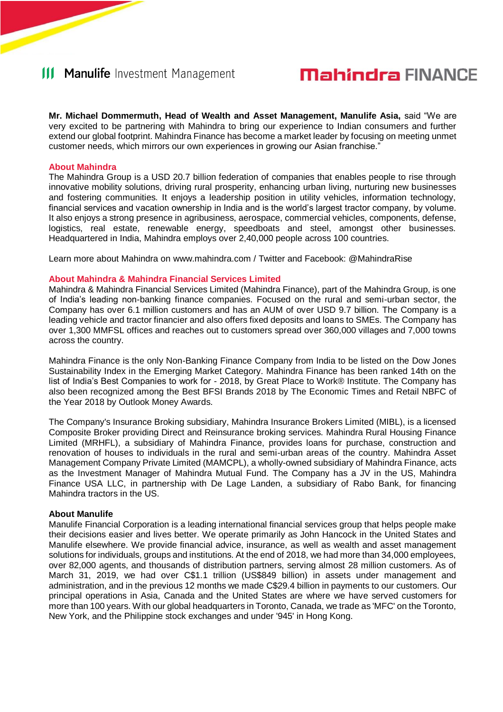## **III Manulife** Investment Management

# **Mahindra FINANCE**

**Mr. Michael Dommermuth, Head of Wealth and Asset Management, Manulife Asia,** said "We are very excited to be partnering with Mahindra to bring our experience to Indian consumers and further extend our global footprint. Mahindra Finance has become a market leader by focusing on meeting unmet customer needs, which mirrors our own experiences in growing our Asian franchise."

#### **About Mahindra**

The Mahindra Group is a USD 20.7 billion federation of companies that enables people to rise through innovative mobility solutions, driving rural prosperity, enhancing urban living, nurturing new businesses and fostering communities. It enjoys a leadership position in utility vehicles, information technology, financial services and vacation ownership in India and is the world's largest tractor company, by volume. It also enjoys a strong presence in agribusiness, aerospace, commercial vehicles, components, defense, logistics, real estate, renewable energy, speedboats and steel, amongst other businesses. Headquartered in India, Mahindra employs over 2,40,000 people across 100 countries.

Learn more about Mahindra on www.mahindra.com / Twitter and Facebook: @MahindraRise

#### **About Mahindra & Mahindra Financial Services Limited**

Mahindra & Mahindra Financial Services Limited (Mahindra Finance), part of the Mahindra Group, is one of India's leading non-banking finance companies. Focused on the rural and semi-urban sector, the Company has over 6.1 million customers and has an AUM of over USD 9.7 billion. The Company is a leading vehicle and tractor financier and also offers fixed deposits and loans to SMEs. The Company has over 1,300 MMFSL offices and reaches out to customers spread over 360,000 villages and 7,000 towns across the country.

Mahindra Finance is the only Non-Banking Finance Company from India to be listed on the Dow Jones Sustainability Index in the Emerging Market Category. Mahindra Finance has been ranked 14th on the list of India's Best Companies to work for - 2018, by Great Place to Work® Institute. The Company has also been recognized among the Best BFSI Brands 2018 by The Economic Times and Retail NBFC of the Year 2018 by Outlook Money Awards.

The Company's Insurance Broking subsidiary, Mahindra Insurance Brokers Limited (MIBL), is a licensed Composite Broker providing Direct and Reinsurance broking services. Mahindra Rural Housing Finance Limited (MRHFL), a subsidiary of Mahindra Finance, provides loans for purchase, construction and renovation of houses to individuals in the rural and semi-urban areas of the country. Mahindra Asset Management Company Private Limited (MAMCPL), a wholly-owned subsidiary of Mahindra Finance, acts as the Investment Manager of Mahindra Mutual Fund. The Company has a JV in the US, Mahindra Finance USA LLC, in partnership with De Lage Landen, a subsidiary of Rabo Bank, for financing Mahindra tractors in the US.

#### **About Manulife**

Manulife Financial Corporation is a leading international financial services group that helps people make their decisions easier and lives better. We operate primarily as John Hancock in the United States and Manulife elsewhere. We provide financial advice, insurance, as well as wealth and asset management solutions for individuals, groups and institutions. At the end of 2018, we had more than 34,000 employees, over 82,000 agents, and thousands of distribution partners, serving almost 28 million customers. As of March 31, 2019, we had over C\$1.1 trillion (US\$849 billion) in assets under management and administration, and in the previous 12 months we made C\$29.4 billion in payments to our customers. Our principal operations in Asia, Canada and the United States are where we have served customers for more than 100 years. With our global headquarters in Toronto, Canada, we trade as 'MFC' on the Toronto, New York, and the Philippine stock exchanges and under '945' in Hong Kong.